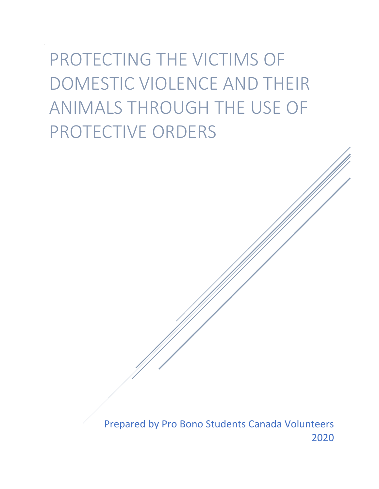PROTECTING THE VICTIMS OF DOMESTIC VIOLENCE AND THEIR ANIMALS THROUGH THE USE OF PROTECTIVE ORDERS

> Prepared by Pro Bono Students Canada Volunteers 2020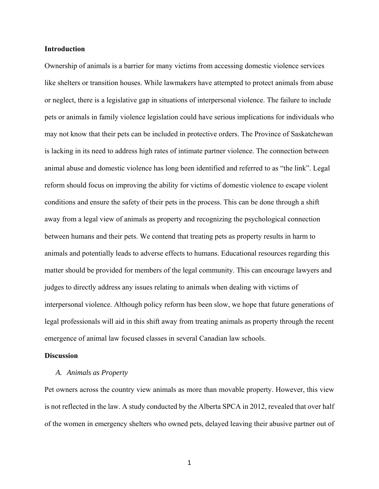#### **Introduction**

Ownership of animals is a barrier for many victims from accessing domestic violence services like shelters or transition houses. While lawmakers have attempted to protect animals from abuse or neglect, there is a legislative gap in situations of interpersonal violence. The failure to include pets or animals in family violence legislation could have serious implications for individuals who may not know that their pets can be included in protective orders. The Province of Saskatchewan is lacking in its need to address high rates of intimate partner violence. The connection between animal abuse and domestic violence has long been identified and referred to as "the link". Legal reform should focus on improving the ability for victims of domestic violence to escape violent conditions and ensure the safety of their pets in the process. This can be done through a shift away from a legal view of animals as property and recognizing the psychological connection between humans and their pets. We contend that treating pets as property results in harm to animals and potentially leads to adverse effects to humans. Educational resources regarding this matter should be provided for members of the legal community. This can encourage lawyers and judges to directly address any issues relating to animals when dealing with victims of interpersonal violence. Although policy reform has been slow, we hope that future generations of legal professionals will aid in this shift away from treating animals as property through the recent emergence of animal law focused classes in several Canadian law schools.

#### **Discussion**

#### *A. Animals as Property*

Pet owners across the country view animals as more than movable property. However, this view is not reflected in the law. A study conducted by the Alberta SPCA in 2012, revealed that over half of the women in emergency shelters who owned pets, delayed leaving their abusive partner out of

1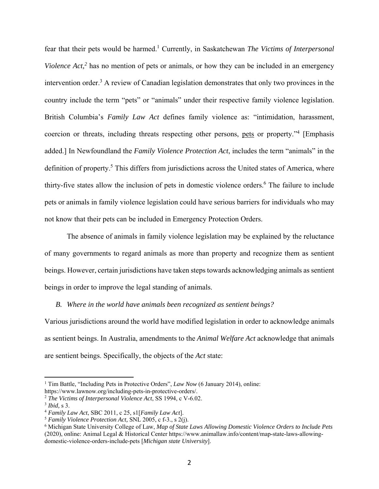fear that their pets would be harmed.<sup>1</sup> Currently, in Saskatchewan *The Victims of Interpersonal Violence Act*,<sup>2</sup> has no mention of pets or animals, or how they can be included in an emergency intervention order.<sup>3</sup> A review of Canadian legislation demonstrates that only two provinces in the country include the term "pets" or "animals" under their respective family violence legislation. British Columbia's *Family Law Act* defines family violence as: "intimidation, harassment, coercion or threats, including threats respecting other persons, pets or property."<sup>4</sup> [Emphasis added.] In Newfoundland the *Family Violence Protection Act*, includes the term "animals" in the definition of property.<sup>5</sup> This differs from jurisdictions across the United states of America, where thirty-five states allow the inclusion of pets in domestic violence orders.<sup>6</sup> The failure to include pets or animals in family violence legislation could have serious barriers for individuals who may not know that their pets can be included in Emergency Protection Orders.

The absence of animals in family violence legislation may be explained by the reluctance of many governments to regard animals as more than property and recognize them as sentient beings. However, certain jurisdictions have taken steps towards acknowledging animals as sentient beings in order to improve the legal standing of animals.

*B. Where in the world have animals been recognized as sentient beings?* 

Various jurisdictions around the world have modified legislation in order to acknowledge animals as sentient beings. In Australia, amendments to the *Animal Welfare Act* acknowledge that animals are sentient beings. Specifically, the objects of the *Act* state:

<sup>&</sup>lt;sup>1</sup> Tim Battle, "Including Pets in Protective Orders", *Law Now* (6 January 2014), online: https://www.lawnow.org/including-pets-in-protective-orders/. 2 *The Victims of Interpersonal Violence Act*, SS 1994, c V-6.02.

<sup>3</sup> *Ibid,* s 3. 4 *Family Law Act*, SBC 2011, c 25, s1[*Family Law Act*]. 5 *Family Violence Protection Act,* SNL 2005, c f-3., s 2(j).

<sup>6</sup> Michigan State University College of Law, *Map of State Laws Allowing Domestic Violence Orders to Include Pets* (2020), online: Animal Legal & Historical Center https://www.animallaw.info/content/map-state-laws-allowingdomestic-violence-orders-include-pets [*Michigan state University*].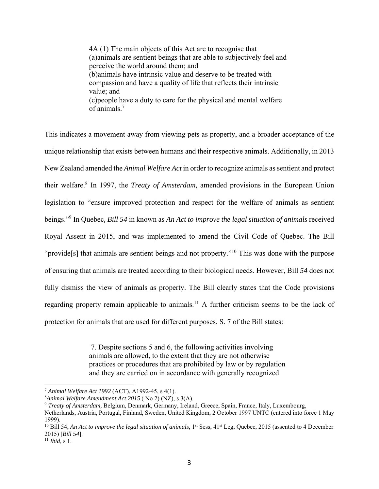4A (1) The main objects of this Act are to recognise that (a)animals are sentient beings that are able to subjectively feel and perceive the world around them; and (b)animals have intrinsic value and deserve to be treated with compassion and have a quality of life that reflects their intrinsic value; and (c)people have a duty to care for the physical and mental welfare of animals.<sup>7</sup>

This indicates a movement away from viewing pets as property, and a broader acceptance of the unique relationship that exists between humans and their respective animals. Additionally, in 2013 New Zealand amended the *Animal Welfare Act* in order to recognize animals as sentient and protect their welfare.<sup>8</sup> In 1997, the *Treaty of Amsterdam*, amended provisions in the European Union legislation to "ensure improved protection and respect for the welfare of animals as sentient beings."9 In Quebec*, Bill 54* in known as *An Act to improve the legal situation of animals* received Royal Assent in 2015, and was implemented to amend the Civil Code of Quebec. The Bill "provide<sup>[s]</sup> that animals are sentient beings and not property."<sup>10</sup> This was done with the purpose of ensuring that animals are treated according to their biological needs. However, Bill *54* does not fully dismiss the view of animals as property. The Bill clearly states that the Code provisions regarding property remain applicable to animals.<sup>11</sup> A further criticism seems to be the lack of protection for animals that are used for different purposes. S. 7 of the Bill states:

> 7. Despite sections 5 and 6, the following activities involving animals are allowed, to the extent that they are not otherwise practices or procedures that are prohibited by law or by regulation and they are carried on in accordance with generally recognized

<sup>7</sup> *Animal Welfare Act 1992* (ACT), A1992-45, s 4(1).

<sup>8</sup> *Animal Welfare Amendment Act 2015* ( No 2) (NZ), s 3(A).

<sup>9</sup> *Treaty of Amsterdam,* Belgium, Denmark, Germany, Ireland, Greece, Spain, France, Italy, Luxembourg, Netherlands, Austria, Portugal, Finland, Sweden, United Kingdom, 2 October 1997 UNTC (entered into force 1 May 1999).

<sup>&</sup>lt;sup>10</sup> Bill 54, *An Act to improve the legal situation of animals*,  $1^{st}$  Sess,  $41^{st}$  Leg, Quebec, 2015 (assented to 4 December 2015) [*Bill 54*]. 11 *Ibid,* s 1.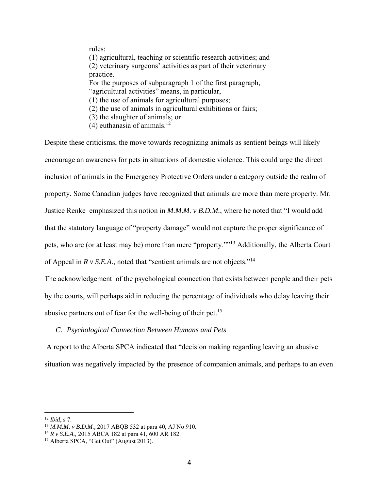rules: (1) agricultural, teaching or scientific research activities; and (2) veterinary surgeons' activities as part of their veterinary practice. For the purposes of subparagraph 1 of the first paragraph, "agricultural activities" means, in particular, (1) the use of animals for agricultural purposes; (2) the use of animals in agricultural exhibitions or fairs; (3) the slaughter of animals; or (4) euthanasia of animals.<sup>12</sup>

Despite these criticisms, the move towards recognizing animals as sentient beings will likely encourage an awareness for pets in situations of domestic violence. This could urge the direct inclusion of animals in the Emergency Protective Orders under a category outside the realm of property. Some Canadian judges have recognized that animals are more than mere property. Mr. Justice Renke emphasized this notion in *M.M.M. v B.D.M.*, where he noted that "I would add that the statutory language of "property damage" would not capture the proper significance of pets, who are (or at least may be) more than mere "property.""13 Additionally, the Alberta Court of Appeal in  $R$  v *S.E.A.*, noted that "sentient animals are not objects."<sup>14</sup>

The acknowledgement of the psychological connection that exists between people and their pets by the courts, will perhaps aid in reducing the percentage of individuals who delay leaving their abusive partners out of fear for the well-being of their pet.<sup>15</sup>

## *C. Psychological Connection Between Humans and Pets*

 A report to the Alberta SPCA indicated that "decision making regarding leaving an abusive situation was negatively impacted by the presence of companion animals, and perhaps to an even

<sup>&</sup>lt;sup>12</sup> *Ibid*, s 7.<br><sup>13</sup> *M.M.M. v B.D.M.*, 2017 ABQB 532 at para 40, AJ No 910.

<sup>&</sup>lt;sup>14</sup> *R v S.E.A.*, 2015 ABCA 182 at para 41, 600 AR 182.

<sup>&</sup>lt;sup>15</sup> Alberta SPCA, "Get Out" (August 2013).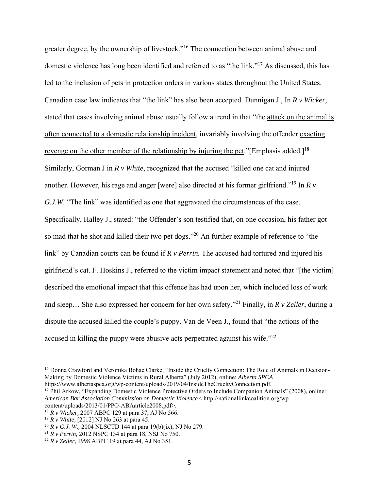greater degree, by the ownership of livestock."16 The connection between animal abuse and domestic violence has long been identified and referred to as "the link."17 As discussed, this has led to the inclusion of pets in protection orders in various states throughout the United States. Canadian case law indicates that "the link" has also been accepted. Dunnigan J., In *R v Wicker,*  stated that cases involving animal abuse usually follow a trend in that "the attack on the animal is often connected to a domestic relationship incident, invariably involving the offender exacting revenge on the other member of the relationship by injuring the pet."[Emphasis added.]<sup>18</sup> Similarly, Gorman J in *R v White*, recognized that the accused "killed one cat and injured another. However, his rage and anger [were] also directed at his former girlfriend."19 In *R v G.J.W.* "The link" was identified as one that aggravated the circumstances of the case. Specifically, Halley J., stated: "the Offender's son testified that, on one occasion, his father got so mad that he shot and killed their two pet dogs."<sup>20</sup> An further example of reference to "the link" by Canadian courts can be found if *R v Perrin.* The accused had tortured and injured his girlfriend's cat. F. Hoskins J., referred to the victim impact statement and noted that "[the victim] described the emotional impact that this offence has had upon her, which included loss of work and sleep… She also expressed her concern for her own safety."21 Finally, in *R v Zeller*, during a dispute the accused killed the couple's puppy. Van de Veen J., found that "the actions of the accused in killing the puppy were abusive acts perpetrated against his wife.<sup>"22</sup>

1

<sup>&</sup>lt;sup>16</sup> Donna Crawford and Veronika Bohac Clarke, "Inside the Cruelty Connection: The Role of Animals in Decision-Making by Domestic Violence Victims in Rural Alberta" (July 2012), online: *Alberta SPCA*  https://www.albertaspca.org/wp-content/uploads/2019/04/InsideTheCrueltyConnection.pdf.

<sup>&</sup>lt;sup>17</sup> Phil Arkow, "Expanding Domestic Violence Protective Orders to Include Companion Animals" (2008), online: *American Bar Association Commission on Domestic Violence<* http://nationallinkcoalition.org/wpcontent/uploads/2013/01/PPO-ABAarticle2008.pdf>.

<sup>18</sup> *R v Wicker,* 2007 ABPC 129 at para 37, AJ No 566.

<sup>&</sup>lt;sup>19</sup> *R v White,* [2012] NJ No 263 at para 45.<br><sup>20</sup> *R v G.J. W.*, 2004 NLSCTD 144 at para 19(b)(ix), NJ No 279.

<sup>&</sup>lt;sup>21</sup> *R v Perrin*, 2012 NSPC 134 at para 18, NSJ No 750.<br><sup>22</sup> *R v Zeller*, 1998 ABPC 19 at para 44, AJ No 351.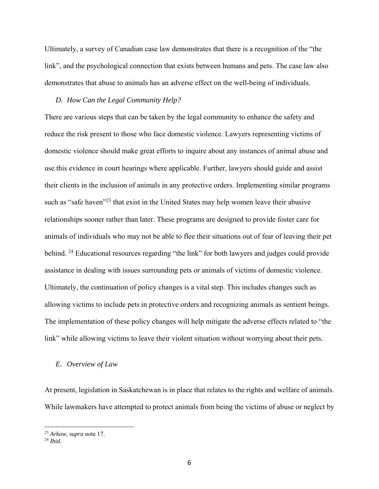Ultimately, a survey of Canadian case law demonstrates that there is a recognition of the "the link", and the psychological connection that exists between humans and pets. The case law also demonstrates that abuse to animals has an adverse effect on the well-being of individuals.

## *D. How Can the Legal Community Help?*

There are various steps that can be taken by the legal community to enhance the safety and reduce the risk present to those who face domestic violence. Lawyers representing victims of domestic violence should make great efforts to inquire about any instances of animal abuse and use this evidence in court hearings where applicable. Further, lawyers should guide and assist their clients in the inclusion of animals in any protective orders. Implementing similar programs such as "safe haven"<sup>23</sup> that exist in the United States may help women leave their abusive relationships sooner rather than later. These programs are designed to provide foster care for animals of individuals who may not be able to flee their situations out of fear of leaving their pet behind. <sup>24</sup> Educational resources regarding "the link" for both lawyers and judges could provide assistance in dealing with issues surrounding pets or animals of victims of domestic violence. Ultimately, the continuation of policy changes is a vital step. This includes changes such as allowing victims to include pets in protective orders and recognizing animals as sentient beings. The implementation of these policy changes will help mitigate the adverse effects related to "the link" while allowing victims to leave their violent situation without worrying about their pets.

#### *E. Overview of Law*

At present, legislation in Saskatchewan is in place that relates to the rights and welfare of animals. While lawmakers have attempted to protect animals from being the victims of abuse or neglect by

<sup>23</sup> *Arkow, supra* note 17. 24 *Ibid.*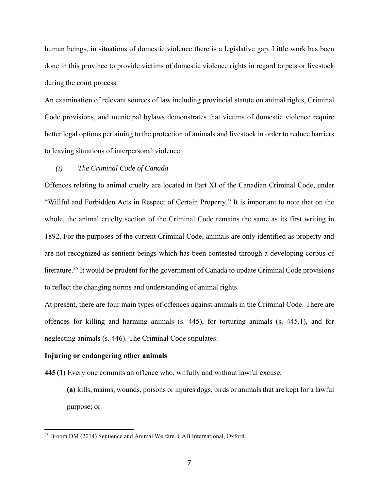human beings, in situations of domestic violence there is a legislative gap. Little work has been done in this province to provide victims of domestic violence rights in regard to pets or livestock during the court process.

An examination of relevant sources of law including provincial statute on animal rights, Criminal Code provisions, and municipal bylaws demonstrates that victims of domestic violence require better legal options pertaining to the protection of animals and livestock in order to reduce barriers to leaving situations of interpersonal violence.

## *(i) The Criminal Code of Canada*

Offences relating to animal cruelty are located in Part XI of the Canadian Criminal Code, under "Willful and Forbidden Acts in Respect of Certain Property." It is important to note that on the whole, the animal cruelty section of the Criminal Code remains the same as its first writing in 1892. For the purposes of the current Criminal Code, animals are only identified as property and are not recognized as sentient beings which has been contested through a developing corpus of literature.<sup>25</sup> It would be prudent for the government of Canada to update Criminal Code provisions to reflect the changing norms and understanding of animal rights.

At present, there are four main types of offences against animals in the Criminal Code. There are offences for killing and harming animals (s. 445), for torturing animals (s. 445.1), and for neglecting animals (s. 446). The Criminal Code stipulates:

#### **Injuring or endangering other animals**

<u>.</u>

**445 (1)** Every one commits an offence who, wilfully and without lawful excuse,

**(a)** kills, maims, wounds, poisons or injures dogs, birds or animals that are kept for a lawful purpose; or

<sup>&</sup>lt;sup>25</sup> Broom DM (2014) Sentience and Animal Welfare. CAB International, Oxford.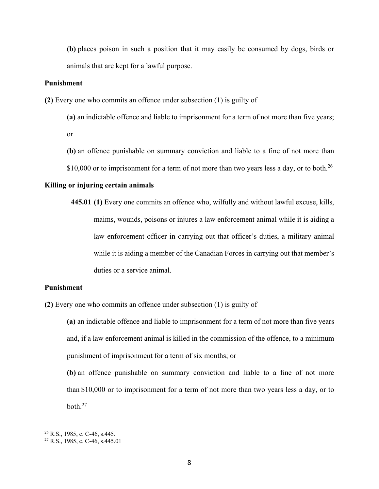**(b)** places poison in such a position that it may easily be consumed by dogs, birds or animals that are kept for a lawful purpose.

## **Punishment**

**(2)** Every one who commits an offence under subsection (1) is guilty of

**(a)** an indictable offence and liable to imprisonment for a term of not more than five years; or

**(b)** an offence punishable on summary conviction and liable to a fine of not more than

\$10,000 or to imprisonment for a term of not more than two years less a day, or to both.<sup>26</sup>

## **Killing or injuring certain animals**

**445.01 (1)** Every one commits an offence who, wilfully and without lawful excuse, kills, maims, wounds, poisons or injures a law enforcement animal while it is aiding a law enforcement officer in carrying out that officer's duties, a military animal while it is aiding a member of the Canadian Forces in carrying out that member's duties or a service animal.

## **Punishment**

**(2)** Every one who commits an offence under subsection (1) is guilty of

**(a)** an indictable offence and liable to imprisonment for a term of not more than five years and, if a law enforcement animal is killed in the commission of the offence, to a minimum punishment of imprisonment for a term of six months; or

**(b)** an offence punishable on summary conviction and liable to a fine of not more than \$10,000 or to imprisonment for a term of not more than two years less a day, or to  $both.<sup>27</sup>$ 

 $26$  R.S., 1985, c. C-46, s.445.

<sup>27</sup> R.S., 1985, c. C-46, s.445.01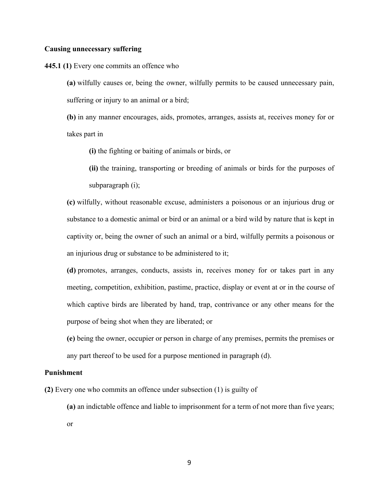## **Causing unnecessary suffering**

**445.1 (1)** Every one commits an offence who

**(a)** wilfully causes or, being the owner, wilfully permits to be caused unnecessary pain, suffering or injury to an animal or a bird;

**(b)** in any manner encourages, aids, promotes, arranges, assists at, receives money for or takes part in

**(i)** the fighting or baiting of animals or birds, or

**(ii)** the training, transporting or breeding of animals or birds for the purposes of subparagraph (i);

**(c)** wilfully, without reasonable excuse, administers a poisonous or an injurious drug or substance to a domestic animal or bird or an animal or a bird wild by nature that is kept in captivity or, being the owner of such an animal or a bird, wilfully permits a poisonous or an injurious drug or substance to be administered to it;

**(d)** promotes, arranges, conducts, assists in, receives money for or takes part in any meeting, competition, exhibition, pastime, practice, display or event at or in the course of which captive birds are liberated by hand, trap, contrivance or any other means for the purpose of being shot when they are liberated; or

**(e)** being the owner, occupier or person in charge of any premises, permits the premises or any part thereof to be used for a purpose mentioned in paragraph (d).

#### **Punishment**

**(2)** Every one who commits an offence under subsection (1) is guilty of

**(a)** an indictable offence and liable to imprisonment for a term of not more than five years;

or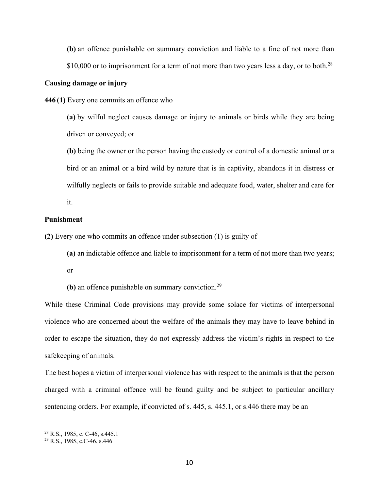**(b)** an offence punishable on summary conviction and liable to a fine of not more than \$10,000 or to imprisonment for a term of not more than two years less a day, or to both.<sup>28</sup>

# **Causing damage or injury**

**446 (1)** Every one commits an offence who

**(a)** by wilful neglect causes damage or injury to animals or birds while they are being driven or conveyed; or

**(b)** being the owner or the person having the custody or control of a domestic animal or a bird or an animal or a bird wild by nature that is in captivity, abandons it in distress or wilfully neglects or fails to provide suitable and adequate food, water, shelter and care for

it.

#### **Punishment**

**(2)** Every one who commits an offence under subsection (1) is guilty of

**(a)** an indictable offence and liable to imprisonment for a term of not more than two years;

or

**(b)** an offence punishable on summary conviction.29

While these Criminal Code provisions may provide some solace for victims of interpersonal violence who are concerned about the welfare of the animals they may have to leave behind in order to escape the situation, they do not expressly address the victim's rights in respect to the safekeeping of animals.

The best hopes a victim of interpersonal violence has with respect to the animals is that the person charged with a criminal offence will be found guilty and be subject to particular ancillary sentencing orders. For example, if convicted of s. 445, s. 445.1, or s.446 there may be an

<sup>&</sup>lt;sup>28</sup> R.S., 1985, c. C-46, s.445.1

<sup>29</sup> R.S., 1985, c.C-46, s.446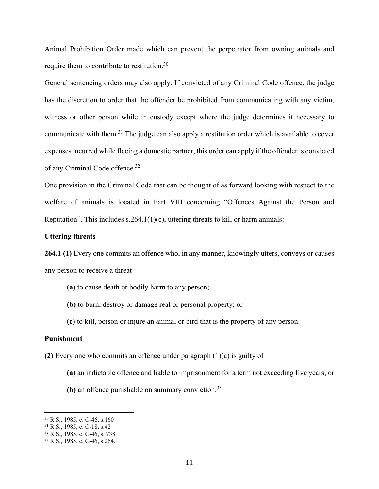Animal Prohibition Order made which can prevent the perpetrator from owning animals and require them to contribute to restitution.<sup>30</sup>

General sentencing orders may also apply. If convicted of any Criminal Code offence, the judge has the discretion to order that the offender be prohibited from communicating with any victim, witness or other person while in custody except where the judge determines it necessary to communicate with them.<sup>31</sup> The judge can also apply a restitution order which is available to cover expenses incurred while fleeing a domestic partner, this order can apply if the offender is convicted of any Criminal Code offence.<sup>32</sup>

One provision in the Criminal Code that can be thought of as forward looking with respect to the welfare of animals is located in Part VIII concerning "Offences Against the Person and Reputation". This includes  $s.264.1(1)(c)$ , uttering threats to kill or harm animals:

## **Uttering threats**

**264.1 (1)** Every one commits an offence who, in any manner, knowingly utters, conveys or causes any person to receive a threat

- **(a)** to cause death or bodily harm to any person;
- **(b)** to burn, destroy or damage real or personal property; or
- **(c)** to kill, poison or injure an animal or bird that is the property of any person.

## **Punishment**

 $\overline{a}$ 

**(2)** Every one who commits an offence under paragraph (1)(a) is guilty of

- **(a)** an indictable offence and liable to imprisonment for a term not exceeding five years; or
- **(b)** an offence punishable on summary conviction.33

<sup>30</sup> R.S., 1985, c. C-46, s.160

<sup>31</sup> R.S., 1985, c. C-18, s.42

<sup>32</sup> R.S., 1985, c. C-46, s. 738

<sup>33</sup> R.S., 1985, c. C-46, s.264.1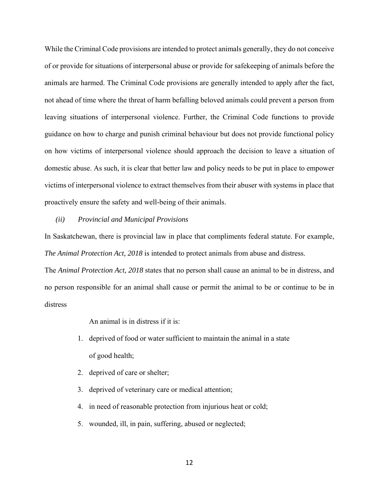While the Criminal Code provisions are intended to protect animals generally, they do not conceive of or provide for situations of interpersonal abuse or provide for safekeeping of animals before the animals are harmed. The Criminal Code provisions are generally intended to apply after the fact, not ahead of time where the threat of harm befalling beloved animals could prevent a person from leaving situations of interpersonal violence. Further, the Criminal Code functions to provide guidance on how to charge and punish criminal behaviour but does not provide functional policy on how victims of interpersonal violence should approach the decision to leave a situation of domestic abuse. As such, it is clear that better law and policy needs to be put in place to empower victims of interpersonal violence to extract themselves from their abuser with systems in place that proactively ensure the safety and well-being of their animals.

#### *(ii) Provincial and Municipal Provisions*

In Saskatchewan, there is provincial law in place that compliments federal statute. For example, *The Animal Protection Act, 2018* is intended to protect animals from abuse and distress.

The *Animal Protection Act, 2018* states that no person shall cause an animal to be in distress, and no person responsible for an animal shall cause or permit the animal to be or continue to be in distress

An animal is in distress if it is:

- 1. deprived of food or water sufficient to maintain the animal in a state of good health;
- 2. deprived of care or shelter;
- 3. deprived of veterinary care or medical attention;
- 4. in need of reasonable protection from injurious heat or cold;
- 5. wounded, ill, in pain, suffering, abused or neglected;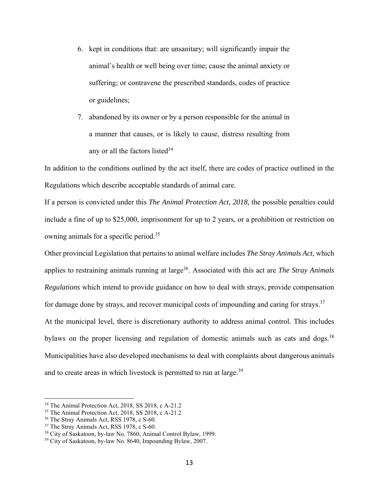- 6. kept in conditions that: are unsanitary; will significantly impair the animal's health or well being over time; cause the animal anxiety or suffering; or contravene the prescribed standards, codes of practice or guidelines;
- 7. abandoned by its owner or by a person responsible for the animal in a manner that causes, or is likely to cause, distress resulting from any or all the factors listed<sup>34</sup>

In addition to the conditions outlined by the act itself, there are codes of practice outlined in the Regulations which describe acceptable standards of animal care.

If a person is convicted under this *The Animal Protection Act, 2018*, the possible penalties could include a fine of up to \$25,000, imprisonment for up to 2 years, or a prohibition or restriction on owning animals for a specific period.35

Other provincial Legislation that pertains to animal welfare includes *The Stray Animals Act*, which applies to restraining animals running at large<sup>36</sup>. Associated with this act are *The Stray Animals Regulations* which intend to provide guidance on how to deal with strays, provide compensation for damage done by strays, and recover municipal costs of impounding and caring for strays.<sup>37</sup> At the municipal level, there is discretionary authority to address animal control. This includes bylaws on the proper licensing and regulation of domestic animals such as cats and dogs.<sup>38</sup> Municipalities have also developed mechanisms to deal with complaints about dangerous animals and to create areas in which livestock is permitted to run at large.<sup>39</sup>

<sup>34</sup> The Animal Protection Act, 2018, SS 2018, c A-21.2

<sup>35</sup> The Animal Protection Act, 2018, SS 2018, c A-21.2

<sup>&</sup>lt;sup>36</sup> The Stray Animals Act, RSS 1978, c S-60.

<sup>&</sup>lt;sup>37</sup> The Stray Animals Act, RSS 1978, c S-60.

<sup>&</sup>lt;sup>38</sup> City of Saskatoon, by-law No. 7860, Animal Control Bylaw, 1999.<br><sup>39</sup> City of Saskatoon, by-law No. 8640, Impounding Bylaw, 2007.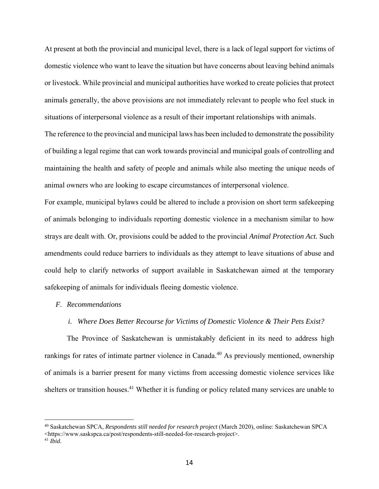At present at both the provincial and municipal level, there is a lack of legal support for victims of domestic violence who want to leave the situation but have concerns about leaving behind animals or livestock. While provincial and municipal authorities have worked to create policies that protect animals generally, the above provisions are not immediately relevant to people who feel stuck in situations of interpersonal violence as a result of their important relationships with animals.

The reference to the provincial and municipal laws has been included to demonstrate the possibility of building a legal regime that can work towards provincial and municipal goals of controlling and maintaining the health and safety of people and animals while also meeting the unique needs of animal owners who are looking to escape circumstances of interpersonal violence.

For example, municipal bylaws could be altered to include a provision on short term safekeeping of animals belonging to individuals reporting domestic violence in a mechanism similar to how strays are dealt with. Or, provisions could be added to the provincial *Animal Protection Act.* Such amendments could reduce barriers to individuals as they attempt to leave situations of abuse and could help to clarify networks of support available in Saskatchewan aimed at the temporary safekeeping of animals for individuals fleeing domestic violence.

#### *F. Recommendations*

## *i. Where Does Better Recourse for Victims of Domestic Violence & Their Pets Exist?*

 The Province of Saskatchewan is unmistakably deficient in its need to address high rankings for rates of intimate partner violence in Canada.<sup>40</sup> As previously mentioned, ownership of animals is a barrier present for many victims from accessing domestic violence services like shelters or transition houses.<sup>41</sup> Whether it is funding or policy related many services are unable to

<sup>40</sup> Saskatchewan SPCA, *Respondents still needed for research project* (March 2020), online: Saskatchewan SPCA <https://www.saskspca.ca/post/respondents-still-needed-for-research-project>. 41 *Ibid*.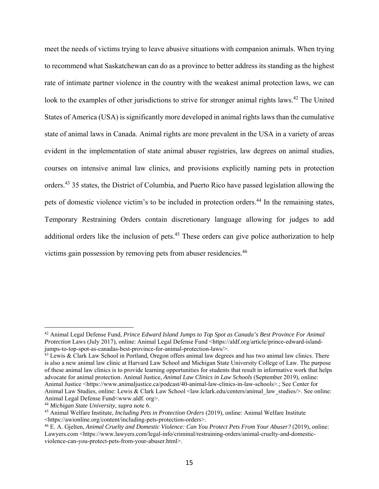meet the needs of victims trying to leave abusive situations with companion animals. When trying to recommend what Saskatchewan can do as a province to better address its standing as the highest rate of intimate partner violence in the country with the weakest animal protection laws, we can look to the examples of other jurisdictions to strive for stronger animal rights laws.<sup>42</sup> The United States of America (USA) is significantly more developed in animal rights laws than the cumulative state of animal laws in Canada. Animal rights are more prevalent in the USA in a variety of areas evident in the implementation of state animal abuser registries, law degrees on animal studies, courses on intensive animal law clinics, and provisions explicitly naming pets in protection orders.43 35 states, the District of Columbia, and Puerto Rico have passed legislation allowing the pets of domestic violence victim's to be included in protection orders.<sup>44</sup> In the remaining states, Temporary Restraining Orders contain discretionary language allowing for judges to add additional orders like the inclusion of pets.<sup>45</sup> These orders can give police authorization to help victims gain possession by removing pets from abuser residencies.<sup>46</sup>

<sup>42</sup> Animal Legal Defense Fund, *Prince Edward Island Jumps to Top Spot as Canada's Best Province For Animal Protection Laws (July 2017), online: Animal Legal Defense Fund <https://aldf.org/article/prince-edward-island*jumps-to-top-spot-as-canadas-best-province-for-animal-protection-laws/>.

 $43$  Lewis & Clark Law School in Portland, Oregon offers animal law degrees and has two animal law clinics. There is also a new animal law clinic at Harvard Law School and Michigan State University College of Law. The purpose of these animal law clinics is to provide learning opportunities for students that result in informative work that helps advocate for animal protection. Animal Justice, *Animal Law Clinics in Law Schools* (September 2019), online: Animal Justice <https://www.animaljustice.ca/podcast/40-animal-law-clinics-in-law-schools>.; See Center for Animal Law Studies, online: Lewis & Clark Law School <law.lclark.edu/centers/animal\_law\_studies/>. See online: Animal Legal Defense Fund<www.aldf. org>.

<sup>44</sup> *Michigan State University, supra* note 6.

<sup>45</sup> Animal Welfare Institute, *Including Pets in Protection Orders* (2019), online: Animal Welfare Institute <https://awionline.org/content/including-pets-protection-orders>.

<sup>46</sup> E. A. Gjelten, *Animal Cruelty and Domestic Violence: Can You Protect Pets From Your Abuser?* (2019), online: Lawyers.com <https://www.lawyers.com/legal-info/criminal/restraining-orders/animal-cruelty-and-domesticviolence-can-you-protect-pets-from-your-abuser.html>.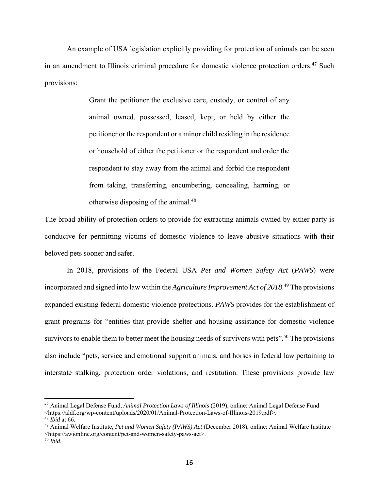An example of USA legislation explicitly providing for protection of animals can be seen in an amendment to Illinois criminal procedure for domestic violence protection orders.<sup>47</sup> Such provisions:

> Grant the petitioner the exclusive care, custody, or control of any animal owned, possessed, leased, kept, or held by either the petitioner or the respondent or a minor child residing in the residence or household of either the petitioner or the respondent and order the respondent to stay away from the animal and forbid the respondent from taking, transferring, encumbering, concealing, harming, or otherwise disposing of the animal.48

The broad ability of protection orders to provide for extracting animals owned by either party is conducive for permitting victims of domestic violence to leave abusive situations with their beloved pets sooner and safer.

In 2018, provisions of the Federal USA *Pet and Women Safety Act* (*PAWS*) were incorporated and signed into law within the *Agriculture Improvement Act of 2018*. 49 The provisions expanded existing federal domestic violence protections. *PAWS* provides for the establishment of grant programs for "entities that provide shelter and housing assistance for domestic violence survivors to enable them to better meet the housing needs of survivors with pets".<sup>50</sup> The provisions also include "pets, service and emotional support animals, and horses in federal law pertaining to interstate stalking, protection order violations, and restitution. These provisions provide law

<sup>47</sup> Animal Legal Defense Fund, *Animal Protection Laws of Illinois* (2019), online: Animal Legal Defense Fund <https://aldf.org/wp-content/uploads/2020/01/Animal-Protection-Laws-of-Illinois-2019.pdf>. <sup>48</sup> *Ibid* at 66.

<sup>49</sup> Animal Welfare Institute, *Pet and Women Safety (PAWS) Act* (December 2018), online: Animal Welfare Institute <https://awionline.org/content/pet-and-women-safety-paws-act>.

<sup>50</sup> *Ibid*.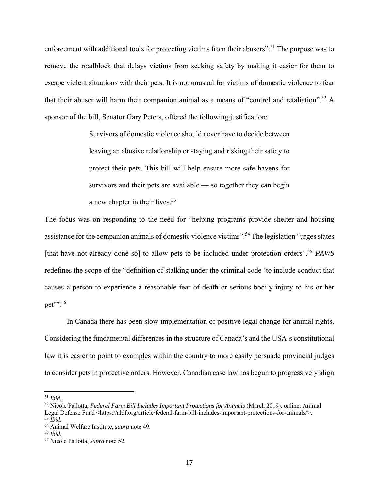enforcement with additional tools for protecting victims from their abusers".<sup>51</sup> The purpose was to remove the roadblock that delays victims from seeking safety by making it easier for them to escape violent situations with their pets. It is not unusual for victims of domestic violence to fear that their abuser will harm their companion animal as a means of "control and retaliation".<sup>52</sup> A sponsor of the bill, Senator Gary Peters, offered the following justification:

> Survivors of domestic violence should never have to decide between leaving an abusive relationship or staying and risking their safety to protect their pets. This bill will help ensure more safe havens for survivors and their pets are available — so together they can begin a new chapter in their lives.<sup>53</sup>

The focus was on responding to the need for "helping programs provide shelter and housing assistance for the companion animals of domestic violence victims".54 The legislation "urges states [that have not already done so] to allow pets to be included under protection orders".<sup>55</sup> *PAWS* redefines the scope of the "definition of stalking under the criminal code 'to include conduct that causes a person to experience a reasonable fear of death or serious bodily injury to his or her pet'".<sup>56</sup>

In Canada there has been slow implementation of positive legal change for animal rights. Considering the fundamental differences in the structure of Canada's and the USA's constitutional law it is easier to point to examples within the country to more easily persuade provincial judges to consider pets in protective orders. However, Canadian case law has begun to progressively align

<sup>51</sup> *Ibid.*

<sup>52</sup> Nicole Pallotta, *Federal Farm Bill Includes Important Protections for Animals* (March 2019), online: Animal Legal Defense Fund <https://aldf.org/article/federal-farm-bill-includes-important-protections-for-animals/>.

<sup>53</sup> *Ibid*. 54 Animal Welfare Institute, *supra* note 49. 55 *Ibid*. 56 Nicole Pallotta, *supra* note 52.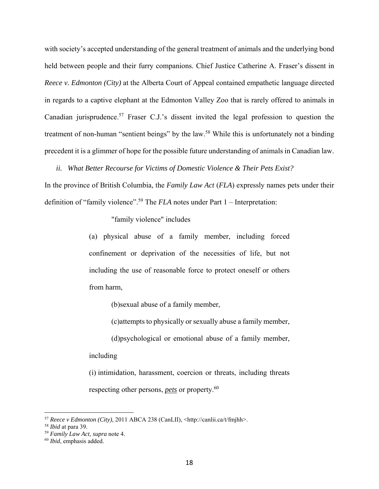with society's accepted understanding of the general treatment of animals and the underlying bond held between people and their furry companions. Chief Justice Catherine A. Fraser's dissent in *Reece v. Edmonton (City)* at the Alberta Court of Appeal contained empathetic language directed in regards to a captive elephant at the Edmonton Valley Zoo that is rarely offered to animals in Canadian jurisprudence.57 Fraser C.J.'s dissent invited the legal profession to question the treatment of non-human "sentient beings" by the law.<sup>58</sup> While this is unfortunately not a binding precedent it is a glimmer of hope for the possible future understanding of animals in Canadian law.

*ii. What Better Recourse for Victims of Domestic Violence & Their Pets Exist?* 

In the province of British Columbia, the *Family Law Act* (*FLA*) expressly names pets under their definition of "family violence".59 The *FLA* notes under Part 1 – Interpretation:

"family violence" includes

(a) physical abuse of a family member, including forced confinement or deprivation of the necessities of life, but not including the use of reasonable force to protect oneself or others from harm,

(b)sexual abuse of a family member,

(c)attempts to physically or sexually abuse a family member,

(d)psychological or emotional abuse of a family member,

including

(i) intimidation, harassment, coercion or threats, including threats respecting other persons, *pets* or property.60

<sup>57</sup> *Reece v Edmonton (City),* 2011 ABCA 238 (CanLII), <http://canlii.ca/t/fmjhh>.

<sup>58</sup> *Ibid* at para 39.

<sup>59</sup> *Family Law Act*, *supra* note 4.

<sup>60</sup> *Ibid*, emphasis added.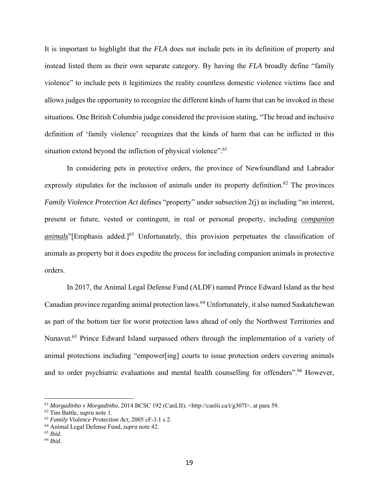It is important to highlight that the *FLA* does not include pets in its definition of property and instead listed them as their own separate category. By having the *FLA* broadly define "family violence" to include pets it legitimizes the reality countless domestic violence victims face and allows judges the opportunity to recognize the different kinds of harm that can be invoked in these situations. One British Columbia judge considered the provision stating, "The broad and inclusive definition of 'family violence' recognizes that the kinds of harm that can be inflicted in this situation extend beyond the infliction of physical violence".<sup>61</sup>

 In considering pets in protective orders, the province of Newfoundland and Labrador expressly stipulates for the inclusion of animals under its property definition.<sup>62</sup> The provinces *Family Violence Protection Act defines* "property" under subsection 2(j) as including "an interest, present or future, vested or contingent, in real or personal property, including *companion animals*"[Emphasis added.]<sup>63</sup> Unfortunately, this provision perpetuates the classification of animals as property but it does expedite the process for including companion animals in protective orders.

 In 2017, the Animal Legal Defense Fund (ALDF) named Prince Edward Island as the best Canadian province regarding animal protection laws.64 Unfortunately, it also named Saskatchewan as part of the bottom tier for worst protection laws ahead of only the Northwest Territories and Nunavut.<sup>65</sup> Prince Edward Island surpassed others through the implementation of a variety of animal protections including "empower[ing] courts to issue protection orders covering animals and to order psychiatric evaluations and mental health counselling for offenders".<sup>66</sup> However,

<sup>61</sup> *Morgadinho v Morgadinho*, 2014 BCSC 192 (CanLII), <http://canlii.ca/t/g307l>, at para 59.

<sup>62</sup> Tim Battle, *supra* note 1.

<sup>63</sup> *Family Violence Protection Act,* 2005 cF-3.1 s 2.

<sup>64</sup> Animal Legal Defense Fund, *supra* note 42.

<sup>65</sup> *Ibid*. 66 *Ibid*.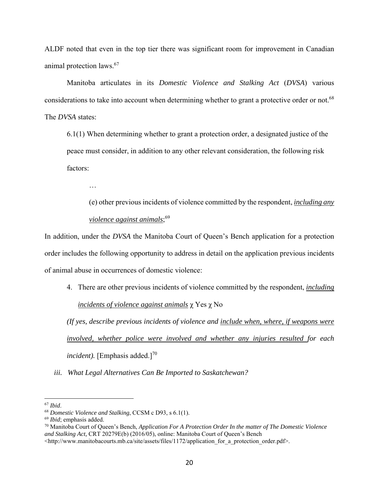ALDF noted that even in the top tier there was significant room for improvement in Canadian animal protection laws.67

 Manitoba articulates in its *Domestic Violence and Stalking Act* (*DVSA*) various considerations to take into account when determining whether to grant a protective order or not.<sup>68</sup> The *DVSA* states:

6.1(1) When determining whether to grant a protection order, a designated justice of the peace must consider, in addition to any other relevant consideration, the following risk factors:

…

(e) other previous incidents of violence committed by the respondent, *including any violence against animals*; 69

In addition, under the *DVSA* the Manitoba Court of Queen's Bench application for a protection order includes the following opportunity to address in detail on the application previous incidents of animal abuse in occurrences of domestic violence:

4. There are other previous incidents of violence committed by the respondent, *including incidents of violence against animals* χ Yes χ No

*(If yes, describe previous incidents of violence and include when, where, if weapons were involved, whether police were involved and whether any injuries resulted for each incident*). [Emphasis added.]<sup>70</sup>

*iii. What Legal Alternatives Can Be Imported to Saskatchewan?* 

<sup>67</sup> *Ibid*. 68 *Domestic Violence and Stalking*, CCSM c D93, s 6.1(1).

<sup>69</sup> *Ibid*; emphasis added.

<sup>70</sup> Manitoba Court of Queen's Bench, *Application For A Protection Order In the matter of The Domestic Violence and Stalking Act,* CRT 20279E(b) (2016/05), online: Manitoba Court of Queen's Bench

<sup>&</sup>lt;http://www.manitobacourts.mb.ca/site/assets/files/1172/application\_for\_a\_protection\_order.pdf>.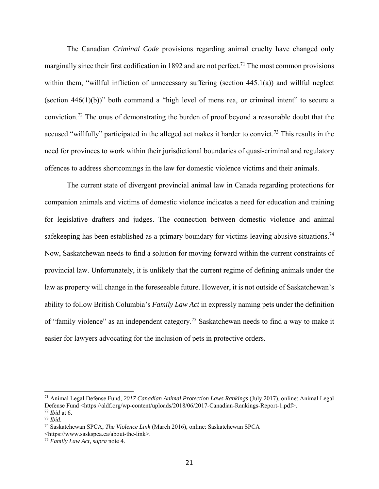The Canadian *Criminal Code* provisions regarding animal cruelty have changed only marginally since their first codification in 1892 and are not perfect.<sup>71</sup> The most common provisions within them, "willful infliction of unnecessary suffering (section 445.1(a)) and willful neglect (section  $446(1)(b)$ )" both command a "high level of mens rea, or criminal intent" to secure a conviction.72 The onus of demonstrating the burden of proof beyond a reasonable doubt that the accused "willfully" participated in the alleged act makes it harder to convict.<sup>73</sup> This results in the need for provinces to work within their jurisdictional boundaries of quasi-criminal and regulatory offences to address shortcomings in the law for domestic violence victims and their animals.

 The current state of divergent provincial animal law in Canada regarding protections for companion animals and victims of domestic violence indicates a need for education and training for legislative drafters and judges. The connection between domestic violence and animal safekeeping has been established as a primary boundary for victims leaving abusive situations.<sup>74</sup> Now, Saskatchewan needs to find a solution for moving forward within the current constraints of provincial law. Unfortunately, it is unlikely that the current regime of defining animals under the law as property will change in the foreseeable future. However, it is not outside of Saskatchewan's ability to follow British Columbia's *Family Law Act* in expressly naming pets under the definition of "family violence" as an independent category.75 Saskatchewan needs to find a way to make it easier for lawyers advocating for the inclusion of pets in protective orders.

<sup>71</sup> Animal Legal Defense Fund, *2017 Canadian Animal Protection Laws Rankings* (July 2017), online: Animal Legal Defense Fund <https://aldf.org/wp-content/uploads/2018/06/2017-Canadian-Rankings-Report-1.pdf>.

<sup>72</sup> *Ibid* at 6.

<sup>73</sup> *Ibid*. 74 Saskatchewan SPCA, *The Violence Link* (March 2016), online: Saskatchewan SPCA <https://www.saskspca.ca/about-the-link>.

<sup>75</sup> *Family Law Act, supra* note 4.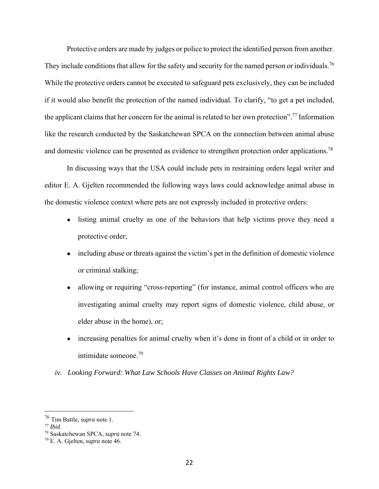Protective orders are made by judges or police to protect the identified person from another. They include conditions that allow for the safety and security for the named person or individuals.<sup>76</sup> While the protective orders cannot be executed to safeguard pets exclusively, they can be included if it would also benefit the protection of the named individual. To clarify, "to get a pet included, the applicant claims that her concern for the animal is related to her own protection".<sup>77</sup> Information like the research conducted by the Saskatchewan SPCA on the connection between animal abuse and domestic violence can be presented as evidence to strengthen protection order applications.<sup>78</sup>

 In discussing ways that the USA could include pets in restraining orders legal writer and editor E. A. Gjelten recommended the following ways laws could acknowledge animal abuse in the domestic violence context where pets are not expressly included in protective orders:

- listing animal cruelty as one of the behaviors that help victims prove they need a protective order;
- including abuse or threats against the victim's pet in the definition of domestic violence or criminal stalking;
- allowing or requiring "cross-reporting" (for instance, animal control officers who are investigating animal cruelty may report signs of domestic violence, child abuse, or elder abuse in the home), or;
- increasing penalties for animal cruelty when it's done in front of a child or in order to intimidate someone.79
- *iv. Looking Forward: What Law Schools Have Classes on Animal Rights Law?*

<sup>76</sup> Tim Battle, *supra* note 1. 77 *Ibid*. 78 Saskatchewan SPCA, *supra* note 74.

<sup>79</sup> E. A. Gjelten, *supra* note 46.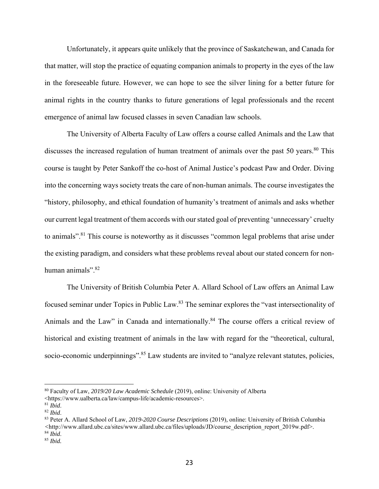Unfortunately, it appears quite unlikely that the province of Saskatchewan, and Canada for that matter, will stop the practice of equating companion animals to property in the eyes of the law in the foreseeable future. However, we can hope to see the silver lining for a better future for animal rights in the country thanks to future generations of legal professionals and the recent emergence of animal law focused classes in seven Canadian law schools.

The University of Alberta Faculty of Law offers a course called Animals and the Law that discusses the increased regulation of human treatment of animals over the past 50 years. $80$  This course is taught by Peter Sankoff the co-host of Animal Justice's podcast Paw and Order. Diving into the concerning ways society treats the care of non-human animals. The course investigates the "history, philosophy, and ethical foundation of humanity's treatment of animals and asks whether our current legal treatment of them accords with our stated goal of preventing 'unnecessary' cruelty to animals".<sup>81</sup> This course is noteworthy as it discusses "common legal problems that arise under the existing paradigm, and considers what these problems reveal about our stated concern for nonhuman animals".<sup>82</sup>

The University of British Columbia Peter A. Allard School of Law offers an Animal Law focused seminar under Topics in Public Law.83 The seminar explores the "vast intersectionality of Animals and the Law" in Canada and internationally.<sup>84</sup> The course offers a critical review of historical and existing treatment of animals in the law with regard for the "theoretical, cultural, socio-economic underpinnings".<sup>85</sup> Law students are invited to "analyze relevant statutes, policies,

1

<sup>80</sup> Faculty of Law, *2019/20 Law Academic Schedule* (2019), online: University of Alberta

<sup>&</sup>lt;https://www.ualberta.ca/law/campus-life/academic-resources>.<br><sup>81</sup> *Ibid.* 

<sup>81</sup> *Ibid*. 82 *Ibid*. 83 Peter A. Allard School of Law, *2019-2020 Course Descriptions* (2019)*,* online: University of British Columbia *<*http://www.allard.ubc.ca/sites/www.allard.ubc.ca/files/uploads/JD/course\_description\_report\_2019w.pdf>.

<sup>84</sup> *Ibid*. 85 *Ibid.*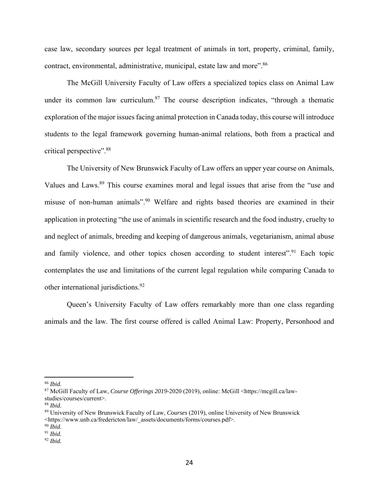case law, secondary sources per legal treatment of animals in tort, property, criminal, family, contract, environmental, administrative, municipal, estate law and more".<sup>86</sup>

The McGill University Faculty of Law offers a specialized topics class on Animal Law under its common law curriculum.<sup>87</sup> The course description indicates, "through a thematic exploration of the major issues facing animal protection in Canada today, this course will introduce students to the legal framework governing human-animal relations, both from a practical and critical perspective".88

The University of New Brunswick Faculty of Law offers an upper year course on Animals, Values and Laws.<sup>89</sup> This course examines moral and legal issues that arise from the "use and misuse of non-human animals".90 Welfare and rights based theories are examined in their application in protecting "the use of animals in scientific research and the food industry, cruelty to and neglect of animals, breeding and keeping of dangerous animals, vegetarianism, animal abuse and family violence, and other topics chosen according to student interest".<sup>91</sup> Each topic contemplates the use and limitations of the current legal regulation while comparing Canada to other international jurisdictions.<sup>92</sup>

Queen's University Faculty of Law offers remarkably more than one class regarding animals and the law. The first course offered is called Animal Law: Property, Personhood and

<sup>86</sup> *Ibid.* 

<sup>87</sup> McGill Faculty of Law, *Course Offerings 2019-*2020 (2019), online: McGill <https://mcgill.ca/lawstudies/courses/current>.

<sup>88</sup> *Ibid.*

<sup>89</sup> University of New Brunswick Faculty of Law, *Courses* (2019), online University of New Brunswick <https://www.unb.ca/fredericton/law/\_assets/documents/forms/courses.pdf>.

<sup>90</sup> *Ibid.*

<sup>91</sup> *Ibid.*

<sup>92</sup> *Ibid.*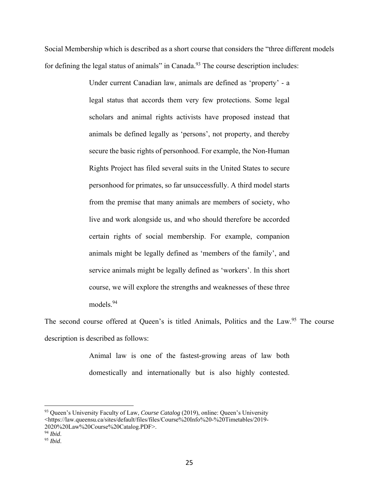Social Membership which is described as a short course that considers the "three different models for defining the legal status of animals" in Canada. $93$  The course description includes:

> Under current Canadian law, animals are defined as 'property' - a legal status that accords them very few protections. Some legal scholars and animal rights activists have proposed instead that animals be defined legally as 'persons', not property, and thereby secure the basic rights of personhood. For example, the Non-Human Rights Project has filed several suits in the United States to secure personhood for primates, so far unsuccessfully. A third model starts from the premise that many animals are members of society, who live and work alongside us, and who should therefore be accorded certain rights of social membership. For example, companion animals might be legally defined as 'members of the family', and service animals might be legally defined as 'workers'. In this short course, we will explore the strengths and weaknesses of these three models.<sup>94</sup>

The second course offered at Queen's is titled Animals, Politics and the Law.<sup>95</sup> The course description is described as follows:

> Animal law is one of the fastest-growing areas of law both domestically and internationally but is also highly contested.

<sup>93</sup> Queen's University Faculty of Law, *Course Catalog* (2019), online: Queen's University <https://law.queensu.ca/sites/default/files/files/Course%20Info%20-%20Timetables/2019- 2020%20Law%20Course%20Catalog.PDF>.

<sup>94</sup> *Ibid*.

<sup>95</sup> *Ibid*.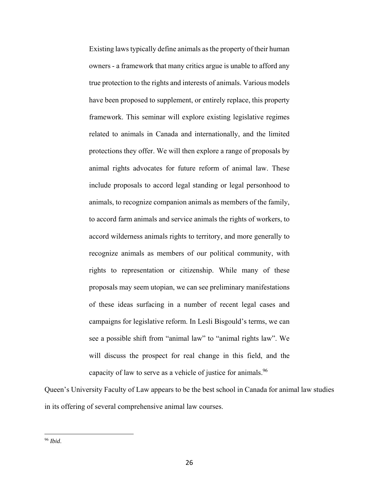Existing laws typically define animals as the property of their human owners - a framework that many critics argue is unable to afford any true protection to the rights and interests of animals. Various models have been proposed to supplement, or entirely replace, this property framework. This seminar will explore existing legislative regimes related to animals in Canada and internationally, and the limited protections they offer. We will then explore a range of proposals by animal rights advocates for future reform of animal law. These include proposals to accord legal standing or legal personhood to animals, to recognize companion animals as members of the family, to accord farm animals and service animals the rights of workers, to accord wilderness animals rights to territory, and more generally to recognize animals as members of our political community, with rights to representation or citizenship. While many of these proposals may seem utopian, we can see preliminary manifestations of these ideas surfacing in a number of recent legal cases and campaigns for legislative reform. In Lesli Bisgould's terms, we can see a possible shift from "animal law" to "animal rights law". We will discuss the prospect for real change in this field, and the capacity of law to serve as a vehicle of justice for animals.<sup>96</sup>

Queen's University Faculty of Law appears to be the best school in Canada for animal law studies in its offering of several comprehensive animal law courses.

<sup>96</sup> *Ibid*.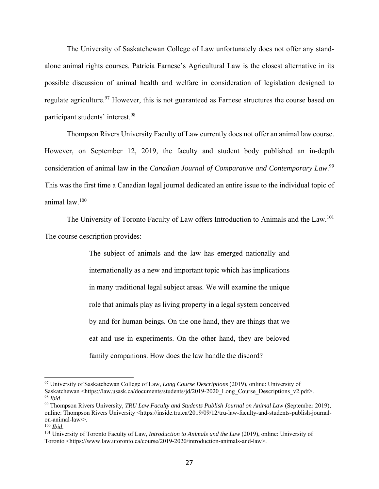The University of Saskatchewan College of Law unfortunately does not offer any standalone animal rights courses. Patricia Farnese's Agricultural Law is the closest alternative in its possible discussion of animal health and welfare in consideration of legislation designed to regulate agriculture.<sup>97</sup> However, this is not guaranteed as Farnese structures the course based on participant students' interest.98

 Thompson Rivers University Faculty of Law currently does not offer an animal law course. However, on September 12, 2019, the faculty and student body published an in-depth consideration of animal law in the *Canadian Journal of Comparative and Contemporary Law*. 99 This was the first time a Canadian legal journal dedicated an entire issue to the individual topic of animal law.100

The University of Toronto Faculty of Law offers Introduction to Animals and the Law.<sup>101</sup> The course description provides:

> The subject of animals and the law has emerged nationally and internationally as a new and important topic which has implications in many traditional legal subject areas. We will examine the unique role that animals play as living property in a legal system conceived by and for human beings. On the one hand, they are things that we eat and use in experiments. On the other hand, they are beloved family companions. How does the law handle the discord?

1

<sup>97</sup> University of Saskatchewan College of Law, *Long Course Descriptions* (2019), online: University of Saskatchewan <https://law.usask.ca/documents/students/jd/2019-2020 Long\_Course\_Descriptions\_v2.pdf>. <sup>98</sup> *Ibid*. 99 Thompson Rivers University, *TRU Law Faculty and Students Publish Journal on Animal Law* (September 2019),

online: Thompson Rivers University <https://inside.tru.ca/2019/09/12/tru-law-faculty-and-students-publish-journalon-animal-law/>.<br> $100$  *Ibid*.

<sup>&</sup>lt;sup>101</sup> University of Toronto Faculty of Law, *Introduction to Animals and the Law* (2019), online: University of Toronto <https://www.law.utoronto.ca/course/2019-2020/introduction-animals-and-law>.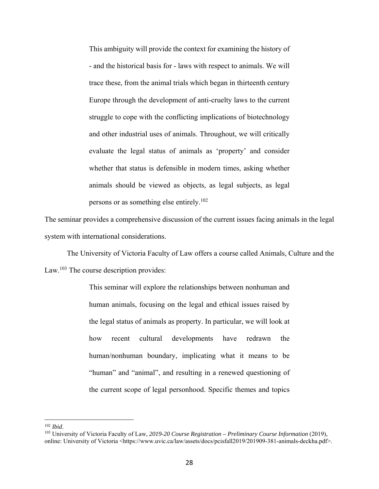This ambiguity will provide the context for examining the history of - and the historical basis for - laws with respect to animals. We will trace these, from the animal trials which began in thirteenth century Europe through the development of anti-cruelty laws to the current struggle to cope with the conflicting implications of biotechnology and other industrial uses of animals. Throughout, we will critically evaluate the legal status of animals as 'property' and consider whether that status is defensible in modern times, asking whether animals should be viewed as objects, as legal subjects, as legal persons or as something else entirely.102

The seminar provides a comprehensive discussion of the current issues facing animals in the legal system with international considerations.

 The University of Victoria Faculty of Law offers a course called Animals, Culture and the Law.<sup>103</sup> The course description provides:

> This seminar will explore the relationships between nonhuman and human animals, focusing on the legal and ethical issues raised by the legal status of animals as property. In particular, we will look at how recent cultural developments have redrawn the human/nonhuman boundary, implicating what it means to be "human" and "animal", and resulting in a renewed questioning of the current scope of legal personhood. Specific themes and topics

1

<sup>&</sup>lt;sup>102</sup> *Ibid.* 103 *University of Victoria Faculty of Law, 2019-20 Course Registration – Preliminary Course Information (2019),* online: University of Victoria <https://www.uvic.ca/law/assets/docs/pcisfall2019/201909-381-animals-deckha.pdf>.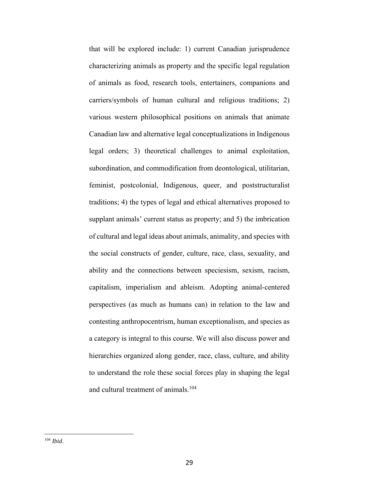that will be explored include: 1) current Canadian jurisprudence characterizing animals as property and the specific legal regulation of animals as food, research tools, entertainers, companions and carriers/symbols of human cultural and religious traditions; 2) various western philosophical positions on animals that animate Canadian law and alternative legal conceptualizations in Indigenous legal orders; 3) theoretical challenges to animal exploitation, subordination, and commodification from deontological, utilitarian, feminist, postcolonial, Indigenous, queer, and poststructuralist traditions; 4) the types of legal and ethical alternatives proposed to supplant animals' current status as property; and 5) the imbrication of cultural and legal ideas about animals, animality, and species with the social constructs of gender, culture, race, class, sexuality, and ability and the connections between speciesism, sexism, racism, capitalism, imperialism and ableism. Adopting animal-centered perspectives (as much as humans can) in relation to the law and contesting anthropocentrism, human exceptionalism, and species as a category is integral to this course. We will also discuss power and hierarchies organized along gender, race, class, culture, and ability to understand the role these social forces play in shaping the legal and cultural treatment of animals.<sup>104</sup>

<sup>104</sup> *Ibid*.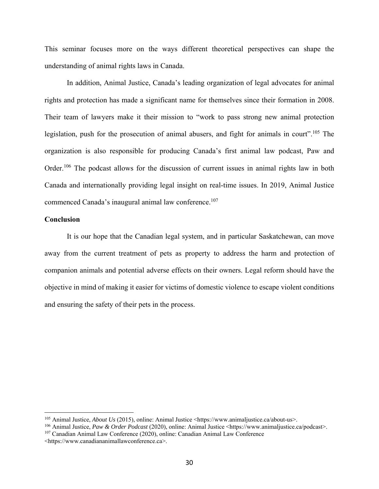This seminar focuses more on the ways different theoretical perspectives can shape the understanding of animal rights laws in Canada.

In addition, Animal Justice, Canada's leading organization of legal advocates for animal rights and protection has made a significant name for themselves since their formation in 2008. Their team of lawyers make it their mission to "work to pass strong new animal protection legislation, push for the prosecution of animal abusers, and fight for animals in court".<sup>105</sup> The organization is also responsible for producing Canada's first animal law podcast, Paw and Order.<sup>106</sup> The podcast allows for the discussion of current issues in animal rights law in both Canada and internationally providing legal insight on real-time issues. In 2019, Animal Justice commenced Canada's inaugural animal law conference.<sup>107</sup>

## **Conclusion**

 $\overline{a}$ 

It is our hope that the Canadian legal system, and in particular Saskatchewan, can move away from the current treatment of pets as property to address the harm and protection of companion animals and potential adverse effects on their owners. Legal reform should have the objective in mind of making it easier for victims of domestic violence to escape violent conditions and ensuring the safety of their pets in the process.

<sup>105</sup> Animal Justice, *About Us* (2015), online: Animal Justice <https://www.animaljustice.ca/about-us>.

<sup>106</sup> Animal Justice, *Paw & Order Podcast* (2020), online: Animal Justice <https://www.animaljustice.ca/podcast>. 107 Canadian Animal Law Conference (2020), online: Canadian Animal Law Conference

<sup>&</sup>lt;https://www.canadiananimallawconference.ca>.